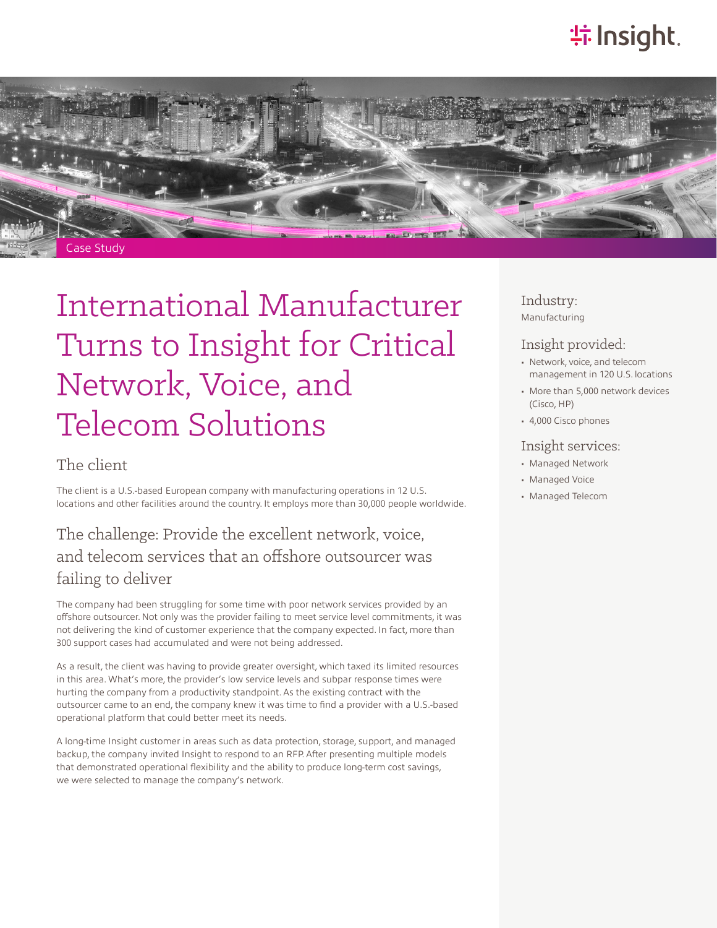# **特Insight**.



# International Manufacturer Turns to Insight for Critical Network, Voice, and Telecom Solutions

#### The client

The client is a U.S.-based European company with manufacturing operations in 12 U.S. locations and other facilities around the country. It employs more than 30,000 people worldwide.

## The challenge: Provide the excellent network, voice, and telecom services that an offshore outsourcer was failing to deliver

The company had been struggling for some time with poor network services provided by an offshore outsourcer. Not only was the provider failing to meet service level commitments, it was not delivering the kind of customer experience that the company expected. In fact, more than 300 support cases had accumulated and were not being addressed.

As a result, the client was having to provide greater oversight, which taxed its limited resources in this area. What's more, the provider's low service levels and subpar response times were hurting the company from a productivity standpoint. As the existing contract with the outsourcer came to an end, the company knew it was time to find a provider with a U.S.-based operational platform that could better meet its needs.

A long-time Insight customer in areas such as data protection, storage, support, and managed backup, the company invited Insight to respond to an RFP. After presenting multiple models that demonstrated operational flexibility and the ability to produce long-term cost savings, we were selected to manage the company's network.

Industry: Manufacturing

#### Insight provided:

- Network, voice, and telecom management in 120 U.S. locations
- More than 5,000 network devices (Cisco, HP)
- 4,000 Cisco phones

#### Insight services:

- Managed Network
- Managed Voice
- Managed Telecom